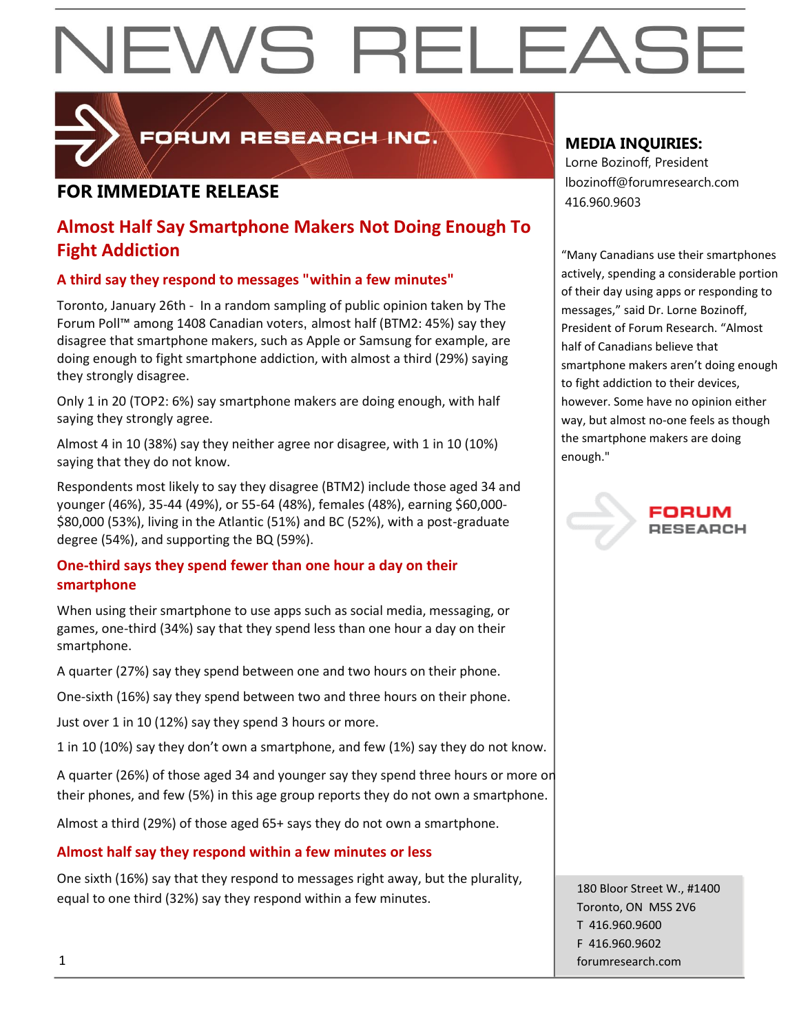

FORUM RESEARCH INC.

## **FOR IMMEDIATE RELEASE And a** series and a series of the series and a series of the series of the series and a series of the series of the series of the series of the series of the series of the series of the series of t

### **Almost Half Say Smartphone Makers Not Doing Enough To Fight Addiction**

### **A third say they respond to messages "within a few minutes"**

Toronto, January 26th - In a random sampling of public opinion taken by The Forum Poll™ among 1408 Canadian voters, almost half (BTM2: 45%) say they disagree that smartphone makers, such as Apple or Samsung for example, are doing enough to fight smartphone addiction, with almost a third (29%) saying they strongly disagree.

Only 1 in 20 (TOP2: 6%) say smartphone makers are doing enough, with half saying they strongly agree.

Almost 4 in 10 (38%) say they neither agree nor disagree, with 1 in 10 (10%) saying that they do not know.

Respondents most likely to say they disagree (BTM2) include those aged 34 and younger (46%), 35-44 (49%), or 55-64 (48%), females (48%), earning \$60,000- \$80,000 (53%), living in the Atlantic (51%) and BC (52%), with a post-graduate degree (54%), and supporting the BQ (59%).

### **One-third says they spend fewer than one hour a day on their smartphone**

When using their smartphone to use apps such as social media, messaging, or games, one-third (34%) say that they spend less than one hour a day on their smartphone.

A quarter (27%) say they spend between one and two hours on their phone.

One-sixth (16%) say they spend between two and three hours on their phone.

Just over 1 in 10 (12%) say they spend 3 hours or more.

1 in 10 (10%) say they don't own a smartphone, and few (1%) say they do not know.

A quarter (26%) of those aged 34 and younger say they spend three hours or more on their phones, and few (5%) in this age group reports they do not own a smartphone.

Almost a third (29%) of those aged 65+ says they do not own a smartphone.

### **Almost half say they respond within a few minutes or less**

One sixth (16%) say that they respond to messages right away, but the plurality, equal to one third (32%) say they respond within a few minutes.

### **MEDIA INQUIRIES:**

Lorne Bozinoff, President lbozinoff@forumresearch.com

"Many Canadians use their smartphones actively, spending a considerable portion of their day using apps or responding to messages," said Dr. Lorne Bozinoff, President of Forum Research. "Almost half of Canadians believe that smartphone makers aren't doing enough to fight addiction to their devices, however. Some have no opinion either way, but almost no-one feels as though the smartphone makers are doing enough."

180 Bloor Street W., #1400 Toronto, ON M5S 2V6 T 416.960.9600 F 416.960.9602 1 forumresearch.com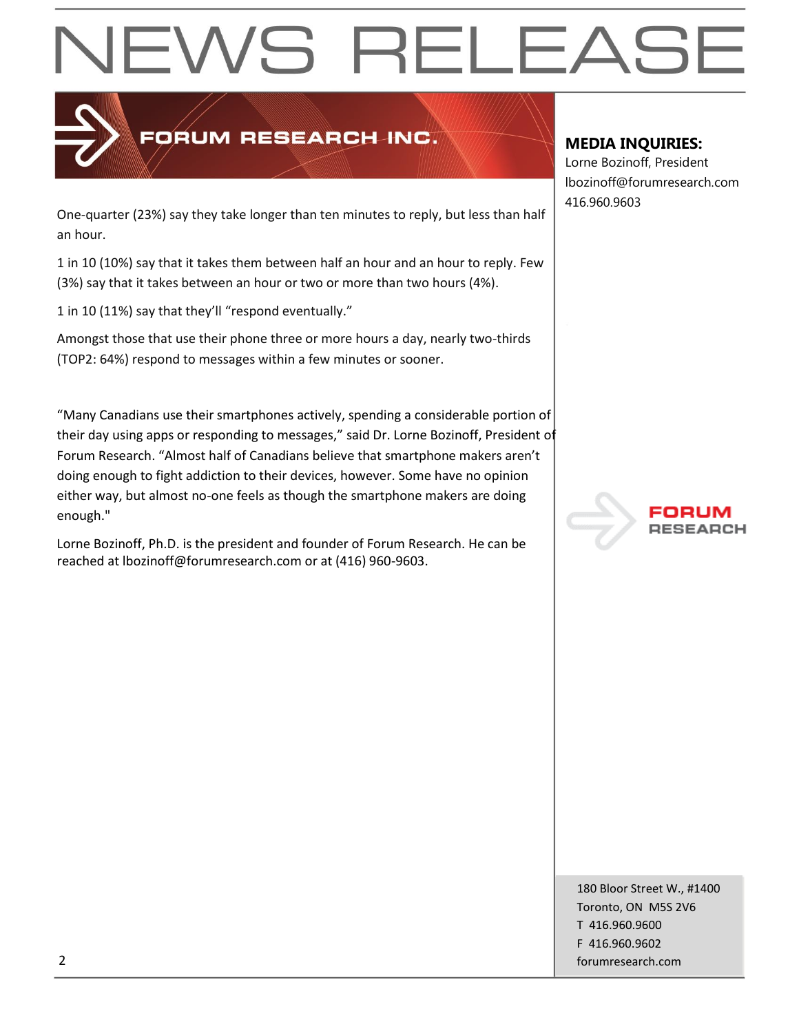

## FORUM RESEARCH INC.

One-quarter (23%) say they take longer than ten minutes to reply, but less than half an hour.

1 in 10 (10%) say that it takes them between half an hour and an hour to reply. Few (3%) say that it takes between an hour or two or more than two hours (4%).

1 in 10 (11%) say that they'll "respond eventually."

Amongst those that use their phone three or more hours a day, nearly two-thirds (TOP2: 64%) respond to messages within a few minutes or sooner.

"Many Canadians use their smartphones actively, spending a considerable portion of their day using apps or responding to messages," said Dr. Lorne Bozinoff, President of Forum Research. "Almost half of Canadians believe that smartphone makers aren't doing enough to fight addiction to their devices, however. Some have no opinion either way, but almost no-one feels as though the smartphone makers are doing enough."

Lorne Bozinoff, Ph.D. is the president and founder of Forum Research. He can be reached at lbozinoff@forumresearch.com or at (416) 960-9603.

### **MEDIA INQUIRIES:**

Lorne Bozinoff, President lbozinoff@forumresearch.com 416.960.9603



180 Bloor Street W., #1400 Toronto, ON M5S 2V6 T 416.960.9600 F 416.960.9602 2 forumresearch.com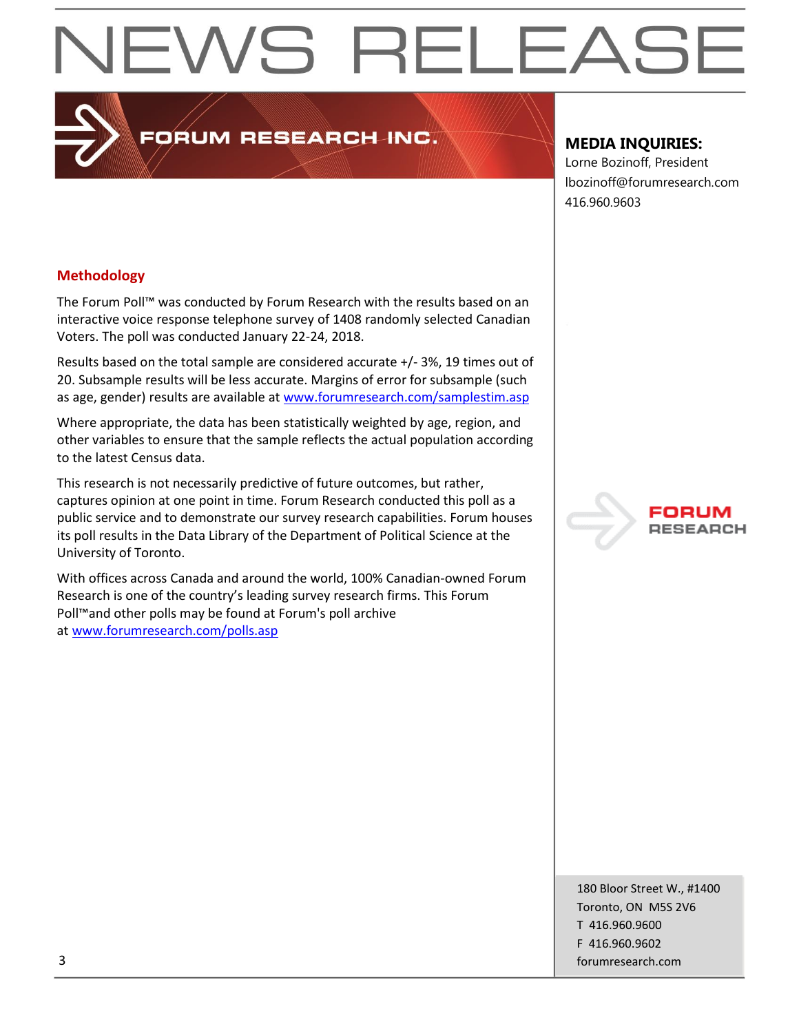PORUM RESEARCH INC.

### **MEDIA INQUIRIES:**

Lorne Bozinoff, President lbozinoff@forumresearch.com 416.960.9603

#### **Methodology**

The Forum Poll™ was conducted by Forum Research with the results based on an interactive voice response telephone survey of 1408 randomly selected Canadian Voters. The poll was conducted January 22-24, 2018.

Results based on the total sample are considered accurate +/- 3%, 19 times out of 20. Subsample results will be less accurate. Margins of error for subsample (such as age, gender) results are available at [www.forumresearch.com/samplestim.asp](http://www.forumresearch.com/samplestim.asp)

Where appropriate, the data has been statistically weighted by age, region, and other variables to ensure that the sample reflects the actual population according to the latest Census data.

This research is not necessarily predictive of future outcomes, but rather, captures opinion at one point in time. Forum Research conducted this poll as a public service and to demonstrate our survey research capabilities. Forum houses its poll results in the Data Library of the Department of Political Science at the University of Toronto.

With offices across Canada and around the world, 100% Canadian-owned Forum Research is one of the country's leading survey research firms. This Forum Poll™and other polls may be found at Forum's poll archive at [www.forumresearch.com/polls.asp](http://www.forumresearch.com/polls.asp)



180 Bloor Street W., #1400 Toronto, ON M5S 2V6 T 416.960.9600 F 416.960.9602 3 forumresearch.com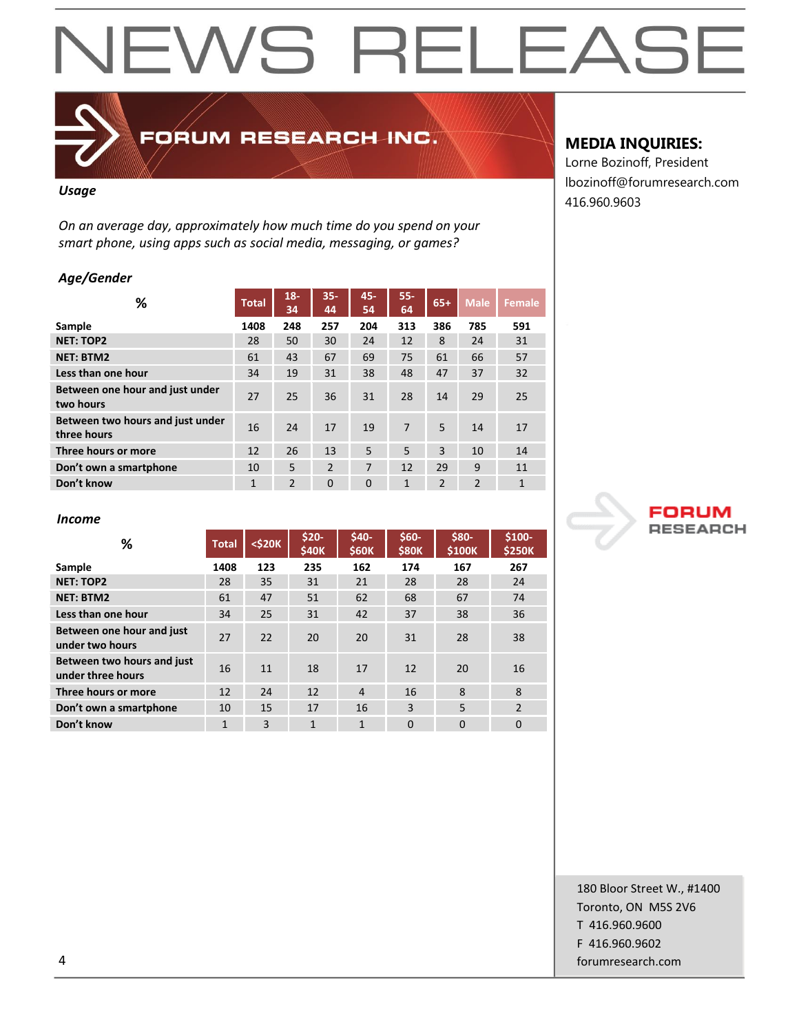## FORUM RESEARCH INC.

#### *Usage*

*On an average day, approximately how much time do you spend on your smart phone, using apps such as social media, messaging, or games?*

#### *Age/Gender*

| ℅                                               | <b>Total</b> | $18 -$<br>34  | $35 -$<br>44 | 45-<br>54 | $55 -$<br>64 | $65+$          | <b>Male</b>    | <b>Female</b> |
|-------------------------------------------------|--------------|---------------|--------------|-----------|--------------|----------------|----------------|---------------|
| Sample                                          | 1408         | 248           | 257          | 204       | 313          | 386            | 785            | 591           |
| <b>NET: TOP2</b>                                | 28           | 50            | 30           | 24        | 12           | 8              | 24             | 31            |
| <b>NET: BTM2</b>                                | 61           | 43            | 67           | 69        | 75           | 61             | 66             | 57            |
| Less than one hour                              | 34           | 19            | 31           | 38        | 48           | 47             | 37             | 32            |
| Between one hour and just under<br>two hours    | 27           | 25            | 36           | 31        | 28           | 14             | 29             | 25            |
| Between two hours and just under<br>three hours | 16           | 24            | 17           | 19        | 7            | 5              | 14             | 17            |
| Three hours or more                             | 12           | 26            | 13           | 5         | 5            | $\overline{3}$ | 10             | 14            |
| Don't own a smartphone                          | 10           | 5             | 2            | 7         | 12           | 29             | 9              | 11            |
| Don't know                                      | 1            | $\mathcal{P}$ | $\Omega$     | $\Omega$  | $\mathbf{1}$ | $\mathcal{P}$  | $\overline{2}$ | 1             |

### **MEDIA INQUIRIES:**

Lorne Bozinoff, President lbozinoff@forumresearch.com 416.960.9603



#### *Income*

| ℅                                               | <b>Total</b> | $<$ \$20 $K$ | $$20-$<br>\$40K | $$40-$<br><b>\$60K</b> | $$60-$<br><b>\$80K</b> | \$80-<br>\$100K | \$100-<br><b>\$250K</b> |
|-------------------------------------------------|--------------|--------------|-----------------|------------------------|------------------------|-----------------|-------------------------|
| Sample                                          | 1408         | 123          | 235             | 162                    | 174                    | 167             | 267                     |
| <b>NET: TOP2</b>                                | 28           | 35           | 31              | 21                     | 28                     | 28              | 24                      |
| <b>NET: BTM2</b>                                | 61           | 47           | 51              | 62                     | 68                     | 67              | 74                      |
| Less than one hour                              | 34           | 25           | 31              | 42                     | 37                     | 38              | 36                      |
| Between one hour and just<br>under two hours    | 27           | 22           | 20              | 20                     | 31                     | 28              | 38                      |
| Between two hours and just<br>under three hours | 16           | 11           | 18              | 17                     | 12                     | 20              | 16                      |
| Three hours or more                             | 12           | 24           | 12              | 4                      | 16                     | 8               | 8                       |
| Don't own a smartphone                          | 10           | 15           | 17              | 16                     | 3                      | 5               | $\mathfrak{p}$          |
| Don't know                                      | 1            | 3            | $\mathbf{1}$    | $\mathbf{1}$           | $\Omega$               | $\Omega$        | $\Omega$                |

180 Bloor Street W., #1400 Toronto, ON M5S 2V6 T 416.960.9600 F 416.960.9602 4 forumresearch.com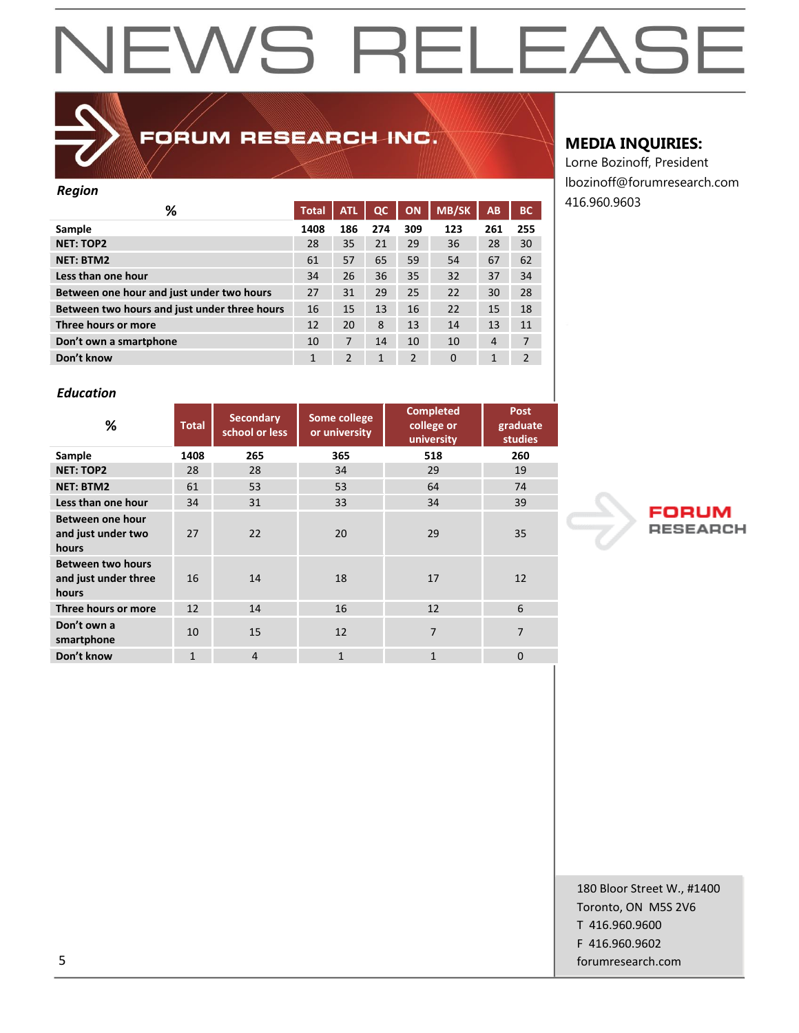

### FORUM RESEARCH INC.

#### *Region*

| ℅                                            | <b>Total</b> | <b>ATL</b>     | QC  | ON             | <b>MB/SK</b> | AB  | <b>BC</b>      |
|----------------------------------------------|--------------|----------------|-----|----------------|--------------|-----|----------------|
| Sample                                       | 1408         | 186            | 274 | 309            | 123          | 261 | 255            |
| <b>NET: TOP2</b>                             | 28           | 35             | 21  | 29             | 36           | 28  | 30             |
| <b>NET: BTM2</b>                             | 61           | 57             | 65  | 59             | 54           | 67  | 62             |
| Less than one hour                           | 34           | 26             | 36  | 35             | 32           | 37  | 34             |
| Between one hour and just under two hours    | 27           | 31             | 29  | 25             | 22           | 30  | 28             |
| Between two hours and just under three hours | 16           | 15             | 13  | 16             | 22           | 15  | 18             |
| Three hours or more                          | 12           | 20             | 8   | 13             | 14           | 13  | 11             |
| Don't own a smartphone                       | 10           | 7              | 14  | 10             | 10           | 4   | 7              |
| Don't know                                   | 1            | $\overline{2}$ | 1   | $\overline{2}$ | $\Omega$     | 1   | $\overline{2}$ |
|                                              |              |                |     |                |              |     |                |

#### *Education*

| %                                                         | Some college<br><b>Secondary</b><br><b>Total</b><br>school or less<br>or university |                | <b>Completed</b><br>college or<br>university | <b>Post</b><br>graduate<br><b>studies</b> |          |
|-----------------------------------------------------------|-------------------------------------------------------------------------------------|----------------|----------------------------------------------|-------------------------------------------|----------|
| Sample                                                    | 1408                                                                                | 265            | 365                                          | 518                                       | 260      |
| <b>NET: TOP2</b>                                          | 28                                                                                  | 28             | 34                                           | 29                                        | 19       |
| <b>NET: BTM2</b>                                          | 61                                                                                  | 53             | 53                                           | 64                                        | 74       |
| Less than one hour                                        | 34                                                                                  | 31             | 33                                           | 34                                        | 39       |
| Between one hour<br>and just under two<br>hours           | 27                                                                                  | 22             | 20                                           | 29                                        | 35       |
| <b>Between two hours</b><br>and just under three<br>hours | 16                                                                                  | 14             | 18                                           | 17                                        | 12       |
| Three hours or more                                       | 12                                                                                  | 14             | 16                                           | 12                                        | 6        |
| Don't own a<br>smartphone                                 | 10                                                                                  | 15             | 12                                           | 7                                         | 7        |
| Don't know                                                | $\mathbf{1}$                                                                        | $\overline{4}$ | $\mathbf{1}$                                 | $\mathbf{1}$                              | $\Omega$ |

#### **MEDIA INQUIRIES:**

Lorne Bozinoff, President lbozinoff@forumresearch.com 416.960.9603



180 Bloor Street W., #1400 Toronto, ON M5S 2V6 T 416.960.9600 F 416.960.9602 5 forumresearch.com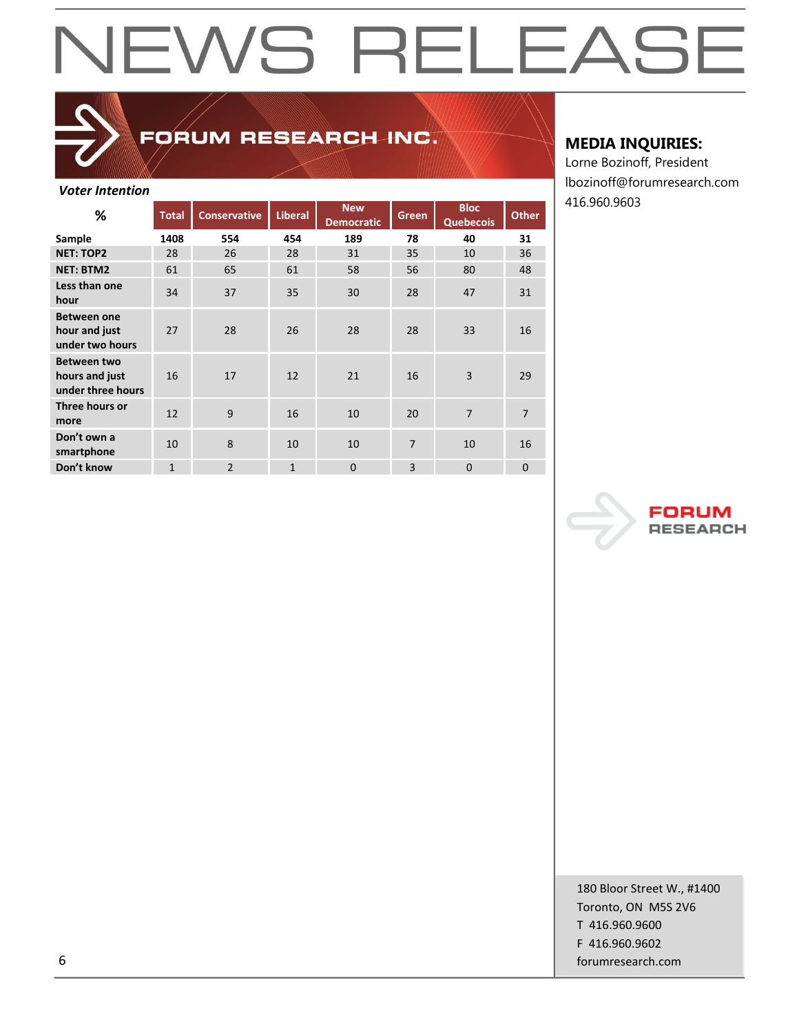## FORUM RESEARCH INC.

#### *Voter Intention*

| %                                                         | <b>Total</b> | <b>Conservative</b> | <b>Liberal</b> | <b>New</b><br><b>Democratic</b> | Green | <b>Bloc</b><br><b>Quebecois</b> | <b>Other</b> |
|-----------------------------------------------------------|--------------|---------------------|----------------|---------------------------------|-------|---------------------------------|--------------|
| Sample                                                    | 1408         | 554                 | 454            | 189                             | 78    | 40                              | 31           |
| <b>NET: TOP2</b>                                          | 28           | 26                  | 28             | 31                              | 35    | 10                              | 36           |
| <b>NET: BTM2</b>                                          | 61           | 65                  | 61             | 58                              | 56    | 80                              | 48           |
| Less than one<br>hour                                     | 34           | 37                  | 35             | 30                              | 28    | 47                              | 31           |
| <b>Between one</b><br>hour and just<br>under two hours    | 27           | 28                  | 26             | 28                              | 28    | 33                              | 16           |
| <b>Between two</b><br>hours and just<br>under three hours | 16           | 17                  | 12             | 21                              | 16    | 3                               | 29           |
| Three hours or<br>more                                    | 12           | 9                   | 16             | 10                              | 20    | $\overline{7}$                  | 7            |
| Don't own a<br>smartphone                                 | 10           | 8                   | 10             | 10                              | 7     | 10                              | 16           |
| Don't know                                                | $\mathbf{1}$ | $\overline{2}$      | $\mathbf{1}$   | $\overline{0}$                  | 3     | $\Omega$                        | 0            |

#### **MEDIA INQUIRIES:**

Lorne Bozinoff, President lbozinoff@forumresearch.com 416.960.9603



180 Bloor Street W., #1400 Toronto, ON M5S 2V6 T 416.960.9600 F 416.960.9602 6 forumresearch.com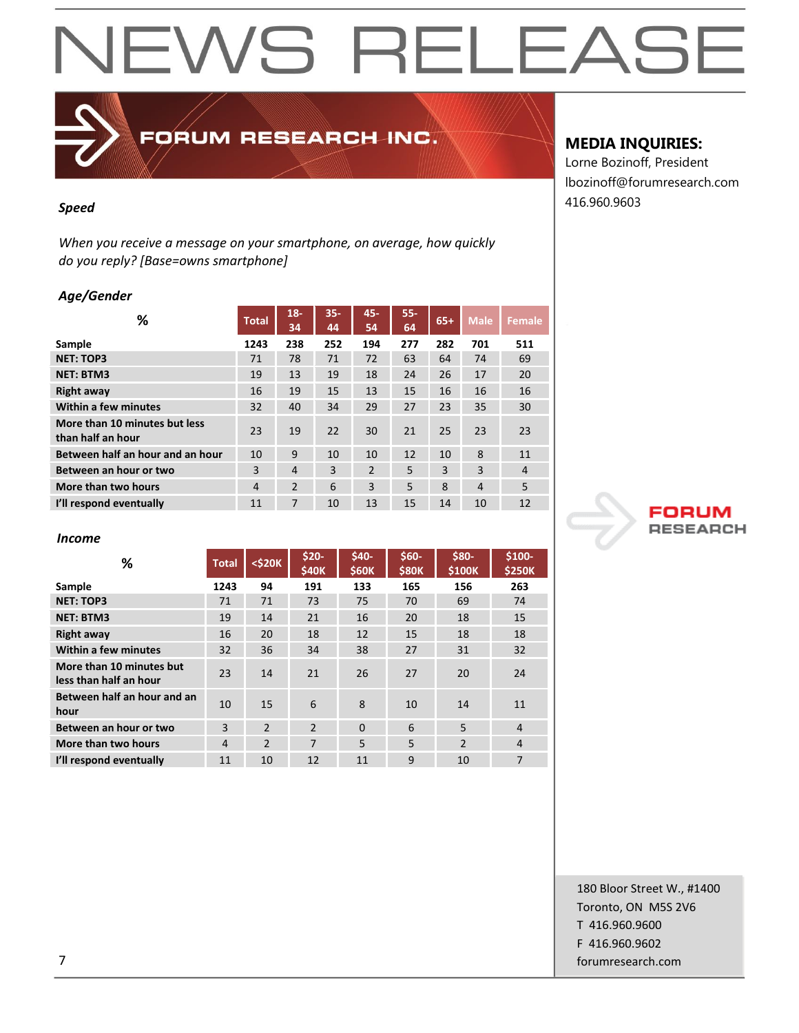## FORUM RESEARCH INC.

*When you receive a message on your smartphone, on average, how quickly do you reply? [Base=owns smartphone]*

#### *Age/Gender*

| %                                                  | <b>Total</b>   | $18 -$<br>34   | $35 -$<br>44 | 45-<br>54      | $55 -$<br>64 | $65+$ | <b>Male</b>    | <b>Female</b>  |
|----------------------------------------------------|----------------|----------------|--------------|----------------|--------------|-------|----------------|----------------|
| Sample                                             | 1243           | 238            | 252          | 194            | 277          | 282   | 701            | 511            |
| <b>NET: TOP3</b>                                   | 71             | 78             | 71           | 72             | 63           | 64    | 74             | 69             |
| <b>NET: BTM3</b>                                   | 19             | 13             | 19           | 18             | 24           | 26    | 17             | 20             |
| <b>Right away</b>                                  | 16             | 19             | 15           | 13             | 15           | 16    | 16             | 16             |
| Within a few minutes                               | 32             | 40             | 34           | 29             | 27           | 23    | 35             | 30             |
| More than 10 minutes but less<br>than half an hour | 23             | 19             | 22           | 30             | 21           | 25    | 23             | 23             |
| Between half an hour and an hour                   | 10             | 9              | 10           | 10             | 12           | 10    | 8              | 11             |
| Between an hour or two                             | 3              | $\overline{4}$ | 3            | $\overline{2}$ | 5            | 3     | 3              | $\overline{4}$ |
| More than two hours                                | $\overline{4}$ | $\overline{2}$ | 6            | 3              | 5            | 8     | $\overline{4}$ | 5              |
| I'll respond eventually                            | 11             | 7              | 10           | 13             | 15           | 14    | 10             | 12             |

#### *Income*

| %                                                  | <b>Total</b> | $<$ \$20 $K$   | $$20-$<br><b>\$40K</b> | $$40-$<br><b>\$60K</b> | $$60-$<br><b>\$80K</b> | \$80-<br>\$100K | $$100-$<br><b>\$250K</b> |
|----------------------------------------------------|--------------|----------------|------------------------|------------------------|------------------------|-----------------|--------------------------|
| Sample                                             | 1243         | 94             | 191                    | 133                    | 165                    | 156             | 263                      |
| <b>NET: TOP3</b>                                   | 71           | 71             | 73                     | 75                     | 70                     | 69              | 74                       |
| <b>NET: BTM3</b>                                   | 19           | 14             | 21                     | 16                     | 20                     | 18              | 15                       |
| <b>Right away</b>                                  | 16           | 20             | 18                     | 12                     | 15                     | 18              | 18                       |
| Within a few minutes                               | 32           | 36             | 34                     | 38                     | 27                     | 31              | 32                       |
| More than 10 minutes but<br>less than half an hour | 23           | 14             | 21                     | 26                     | 27                     | 20              | 24                       |
| Between half an hour and an<br>hour                | 10           | 15             | 6                      | 8                      | 10                     | 14              | 11                       |
| Between an hour or two                             | 3            | $\overline{2}$ | $\mathfrak{p}$         | $\Omega$               | 6                      | 5               | $\overline{4}$           |
| More than two hours                                | 4            | $\overline{2}$ | 7                      | 5                      | 5                      | $\overline{2}$  | $\overline{4}$           |
| I'll respond eventually                            | 11           | 10             | 12                     | 11                     | 9                      | 10              | 7                        |

### **MEDIA INQUIRIES:**

Lorne Bozinoff, President lbozinoff@forumresearch.com 416.960.9603 *Speed*



180 Bloor Street W., #1400 Toronto, ON M5S 2V6 T 416.960.9600 F 416.960.9602 7 forumresearch.com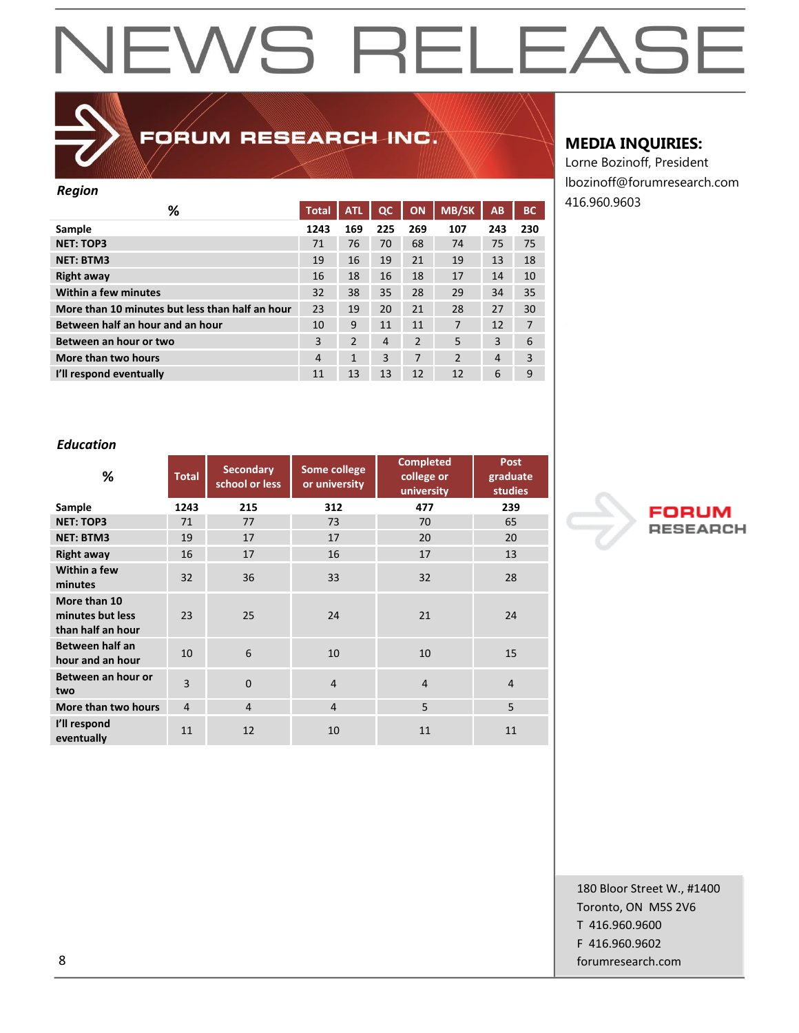

## FORUM RESEARCH INC.

#### *Region*

| ັ                                               |                |                |                |                |                |     |                |
|-------------------------------------------------|----------------|----------------|----------------|----------------|----------------|-----|----------------|
| ℅                                               | <b>Total</b>   | <b>ATL</b>     | $_{\alpha}$    | ON             | <b>MB/SK</b>   | AB  | <b>BC</b>      |
| Sample                                          | 1243           | 169            | 225            | 269            | 107            | 243 | 230            |
| <b>NET: TOP3</b>                                | 71             | 76             | 70             | 68             | 74             | 75  | 75             |
| <b>NET: BTM3</b>                                | 19             | 16             | 19             | 21             | 19             | 13  | 18             |
| Right away                                      | 16             | 18             | 16             | 18             | 17             | 14  | 10             |
| Within a few minutes                            | 32             | 38             | 35             | 28             | 29             | 34  | 35             |
| More than 10 minutes but less than half an hour | 23             | 19             | 20             | 21             | 28             | 27  | 30             |
| Between half an hour and an hour                | 10             | 9              | 11             | 11             | 7              | 12  | $\overline{7}$ |
| Between an hour or two                          | 3              | $\overline{2}$ | $\overline{4}$ | $\overline{2}$ | 5              | 3   | 6              |
| More than two hours                             | $\overline{4}$ | $\mathbf{1}$   | 3              | 7              | $\overline{2}$ | 4   | 3              |
| I'll respond eventually                         | 11             | 13             | 13             | 12             | 12             | 6   | 9              |

#### **MEDIA INQUIRIES:**

Lorne Bozinoff, President lbozinoff@forumresearch.com 416.960.9603

#### *Education*

| %                                                     | <b>Total</b>   | <b>Secondary</b><br>school or less | Some college<br>or university | <b>Completed</b><br>college or<br>university | <b>Post</b><br>graduate<br><b>studies</b> |
|-------------------------------------------------------|----------------|------------------------------------|-------------------------------|----------------------------------------------|-------------------------------------------|
| Sample                                                | 1243           | 215                                | 312                           | 477                                          | 239                                       |
| <b>NET: TOP3</b>                                      | 71             | 77                                 | 73                            | 70                                           | 65                                        |
| <b>NET: BTM3</b>                                      | 19             | 17                                 | 17                            | 20                                           | 20                                        |
| <b>Right away</b>                                     | 16             | 17                                 | 16                            | 17                                           | 13                                        |
| Within a few<br>minutes                               | 32             | 36                                 | 33                            | 32                                           | 28                                        |
| More than 10<br>minutes but less<br>than half an hour | 23             | 25                                 | 24                            | 21                                           | 24                                        |
| Between half an<br>hour and an hour                   | 10             | 6                                  | 10                            | 10                                           | 15                                        |
| Between an hour or<br>two                             | 3              | $\Omega$                           | $\overline{4}$                | $\overline{4}$                               | $\overline{4}$                            |
| More than two hours                                   | $\overline{4}$ | $\overline{4}$                     | $\overline{4}$                | 5                                            | 5                                         |
| I'll respond<br>eventually                            | 11             | 12                                 | 10                            | 11                                           | 11                                        |



180 Bloor Street W., #1400 Toronto, ON M5S 2V6 T 416.960.9600 F 416.960.9602 8 forumresearch.com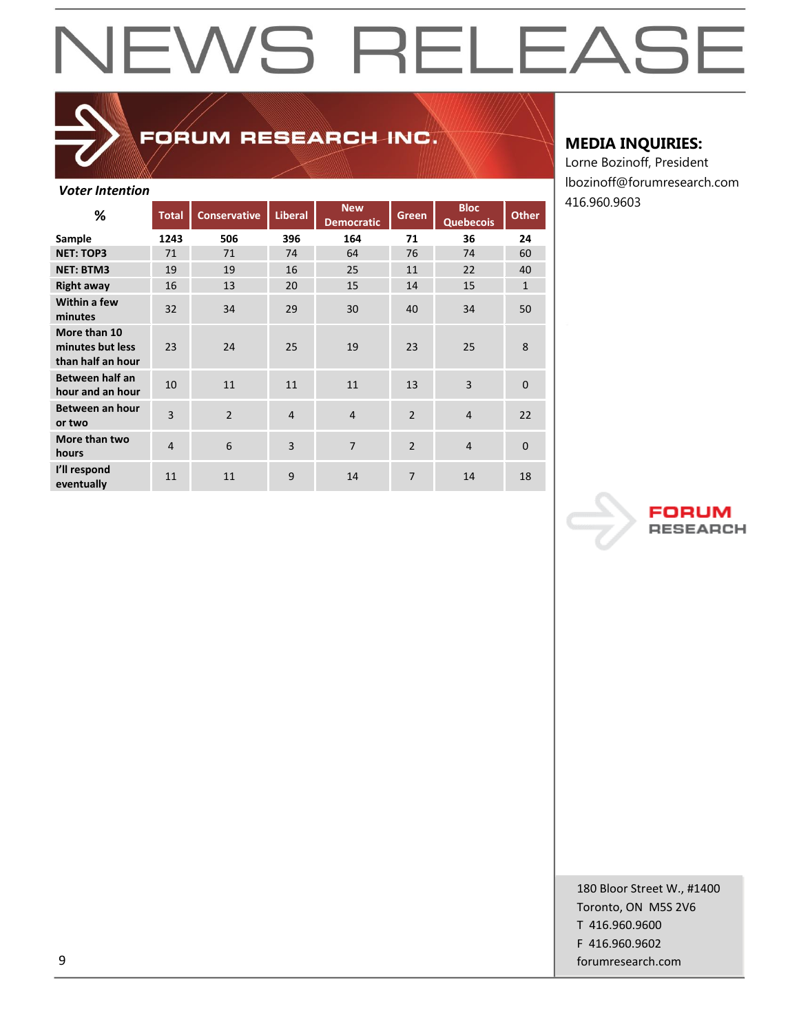## FORUM RESEARCH INC.

#### *Voter Intention*

| %                                                     | <b>Total</b>   | <b>Conservative</b> | Liberal        | <b>New</b><br><b>Democratic</b> | Green          | <b>Bloc</b><br><b>Quebecois</b> | <b>Other</b>   |
|-------------------------------------------------------|----------------|---------------------|----------------|---------------------------------|----------------|---------------------------------|----------------|
| Sample                                                | 1243           | 506                 | 396            | 164                             | 71             | 36                              | 24             |
| <b>NET: TOP3</b>                                      | 71             | 71                  | 74             | 64                              | 76             | 74                              | 60             |
| <b>NET: BTM3</b>                                      | 19             | 19                  | 16             | 25                              | 11             | 22                              | 40             |
| <b>Right away</b>                                     | 16             | 13                  | 20             | 15                              | 14             | 15                              | $\mathbf{1}$   |
| Within a few<br>minutes                               | 32             | 34                  | 29             | 30                              | 40             | 34                              | 50             |
| More than 10<br>minutes but less<br>than half an hour | 23             | 24                  | 25             | 19                              | 23             | 25                              | 8              |
| Between half an<br>hour and an hour                   | 10             | 11                  | 11             | 11                              | 13             | $\overline{3}$                  | $\mathbf{0}$   |
| Between an hour<br>or two                             | 3              | $\overline{2}$      | $\overline{4}$ | $\overline{4}$                  | $\overline{2}$ | $\overline{4}$                  | 22             |
| More than two<br>hours                                | $\overline{4}$ | 6                   | 3              | 7                               | $\overline{2}$ | $\overline{4}$                  | $\overline{0}$ |
| I'll respond<br>eventually                            | 11             | 11                  | 9              | 14                              | 7              | 14                              | 18             |

#### **MEDIA INQUIRIES:**

Lorne Bozinoff, President lbozinoff@forumresearch.com 416.960.9603



180 Bloor Street W., #1400 Toronto, ON M5S 2V6 T 416.960.9600 F 416.960.9602 9 forumresearch.com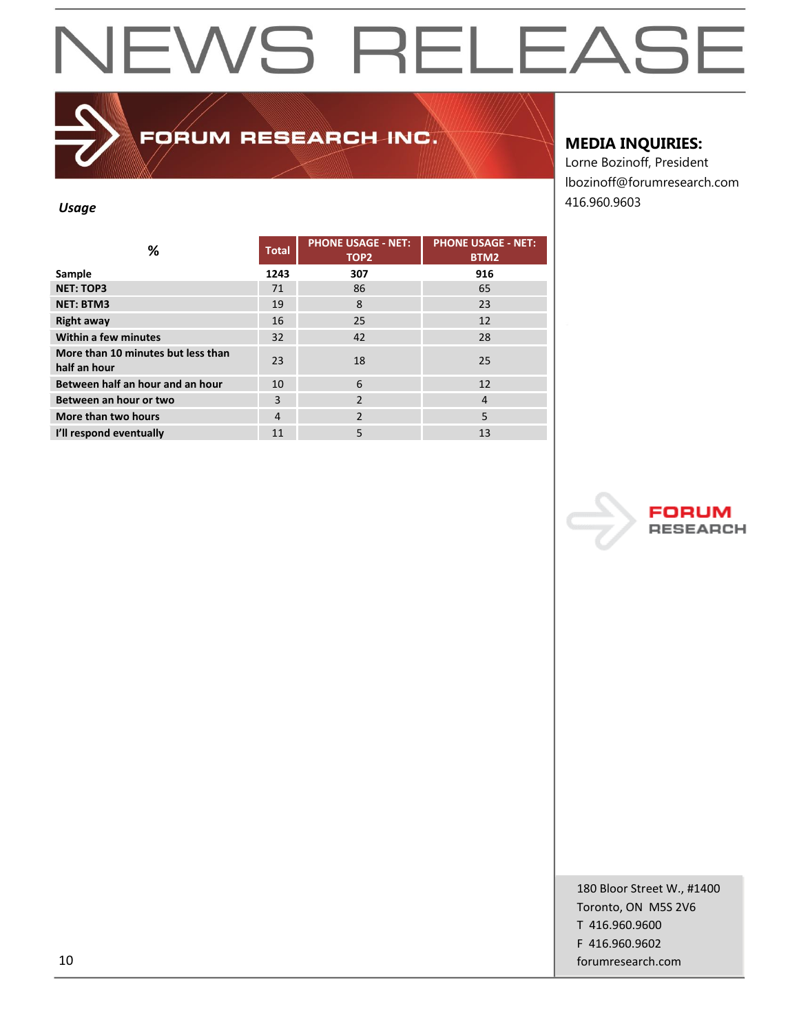FORUM RESEARCH INC.

#### **MEDIA INQUIRIES:**

Lorne Bozinoff, President lbozinoff@forumresearch.com 416.960.9603 *Usage*

| %                                                  | <b>Total</b> | <b>PHONE USAGE - NET:</b><br>TOP <sub>2</sub> | <b>PHONE USAGE - NET:</b><br>BTM2 |
|----------------------------------------------------|--------------|-----------------------------------------------|-----------------------------------|
| Sample                                             | 1243         | 307                                           | 916                               |
| <b>NET: TOP3</b>                                   | 71           | 86                                            | 65                                |
| <b>NET: BTM3</b>                                   | 19           | 8                                             | 23                                |
| <b>Right away</b>                                  | 16           | 25                                            | 12                                |
| Within a few minutes                               | 32           | 42                                            | 28                                |
| More than 10 minutes but less than<br>half an hour | 23           | 18                                            | 25                                |
| Between half an hour and an hour                   | 10           | 6                                             | 12                                |
| Between an hour or two                             | 3            | $\overline{2}$                                | 4                                 |
| More than two hours                                | 4            | $\overline{2}$                                | 5                                 |
| I'll respond eventually                            | 11           | 5                                             | 13                                |



180 Bloor Street W., #1400 Toronto, ON M5S 2V6 T 416.960.9600 F 416.960.9602 10 forumresearch.com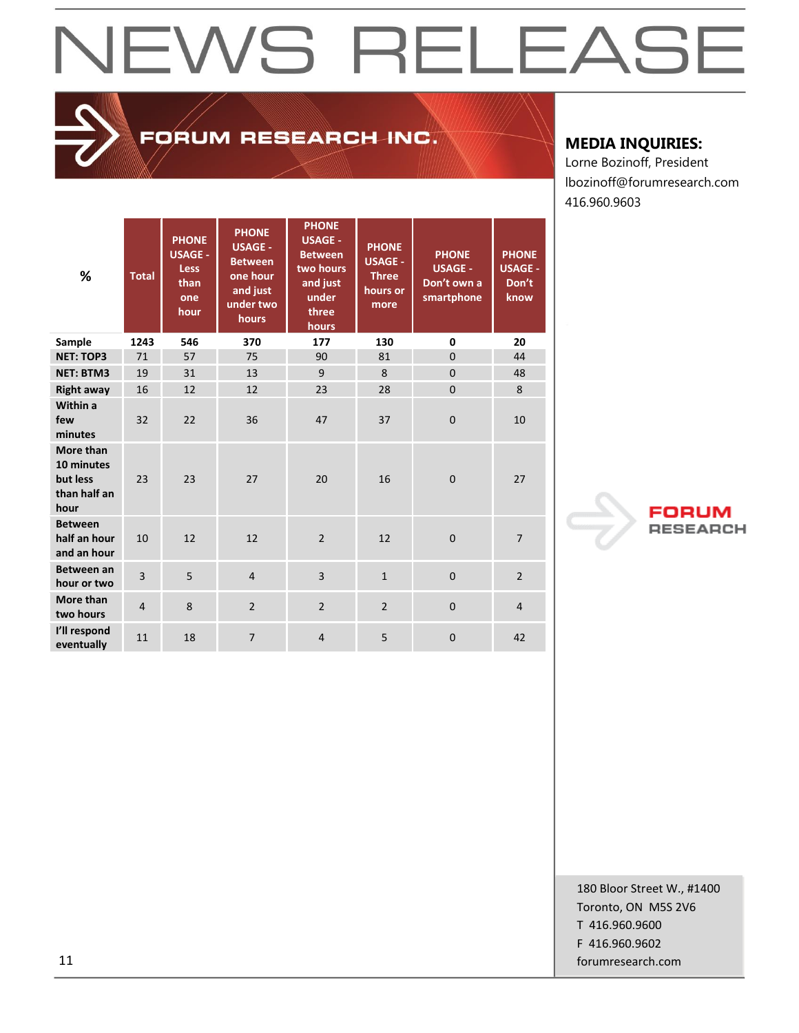## FORUM RESEARCH INC.

### **MEDIA INQUIRIES:**

Lorne Bozinoff, President lbozinoff@forumresearch.com 416.960.9603

| %                                                           | <b>Total</b>   | <b>PHONE</b><br><b>USAGE -</b><br><b>Less</b><br>than<br>one<br>hour | <b>PHONE</b><br><b>USAGE -</b><br><b>Between</b><br>one hour<br>and just<br>under two<br>hours | <b>PHONE</b><br><b>USAGE -</b><br><b>Between</b><br>two hours<br>and just<br>under<br>three<br>hours | <b>PHONE</b><br><b>USAGE -</b><br><b>Three</b><br>hours or<br>more | <b>PHONE</b><br><b>USAGE -</b><br>Don't own a<br>smartphone | <b>PHONE</b><br><b>USAGE -</b><br>Don't<br>know |
|-------------------------------------------------------------|----------------|----------------------------------------------------------------------|------------------------------------------------------------------------------------------------|------------------------------------------------------------------------------------------------------|--------------------------------------------------------------------|-------------------------------------------------------------|-------------------------------------------------|
| Sample                                                      | 1243           | 546                                                                  | 370                                                                                            | 177                                                                                                  | 130                                                                | 0                                                           | 20                                              |
| <b>NET: TOP3</b>                                            | 71             | 57                                                                   | 75                                                                                             | 90                                                                                                   | 81                                                                 | $\overline{0}$                                              | 44                                              |
| <b>NET: BTM3</b>                                            | 19             | 31                                                                   | 13                                                                                             | 9                                                                                                    | 8                                                                  | $\mathbf{0}$                                                | 48                                              |
| <b>Right away</b>                                           | 16             | 12                                                                   | 12                                                                                             | 23                                                                                                   | 28                                                                 | $\mathbf{0}$                                                | 8                                               |
| Within a<br>few<br>minutes                                  | 32             | 22                                                                   | 36                                                                                             | 47                                                                                                   | 37                                                                 | $\overline{0}$                                              | 10                                              |
| More than<br>10 minutes<br>but less<br>than half an<br>hour | 23             | 23                                                                   | 27                                                                                             | 20                                                                                                   | 16                                                                 | $\mathbf{0}$                                                | 27                                              |
| <b>Between</b><br>half an hour<br>and an hour               | 10             | 12                                                                   | 12                                                                                             | $\overline{2}$                                                                                       | 12                                                                 | $\mathbf{0}$                                                | $\overline{7}$                                  |
| Between an<br>hour or two                                   | 3              | 5                                                                    | $\overline{4}$                                                                                 | $\overline{3}$                                                                                       | $\mathbf{1}$                                                       | $\mathbf{0}$                                                | $\overline{2}$                                  |
| More than<br>two hours                                      | $\overline{4}$ | 8                                                                    | $\overline{2}$                                                                                 | $\overline{2}$                                                                                       | $\overline{2}$                                                     | $\mathbf{0}$                                                | $\overline{4}$                                  |
| I'll respond<br>eventually                                  | 11             | 18                                                                   | $\overline{7}$                                                                                 | $\overline{4}$                                                                                       | 5                                                                  | $\mathbf{0}$                                                | 42                                              |



180 Bloor Street W., #1400 Toronto, ON M5S 2V6 T 416.960.9600 F 416.960.9602 11 forumresearch.com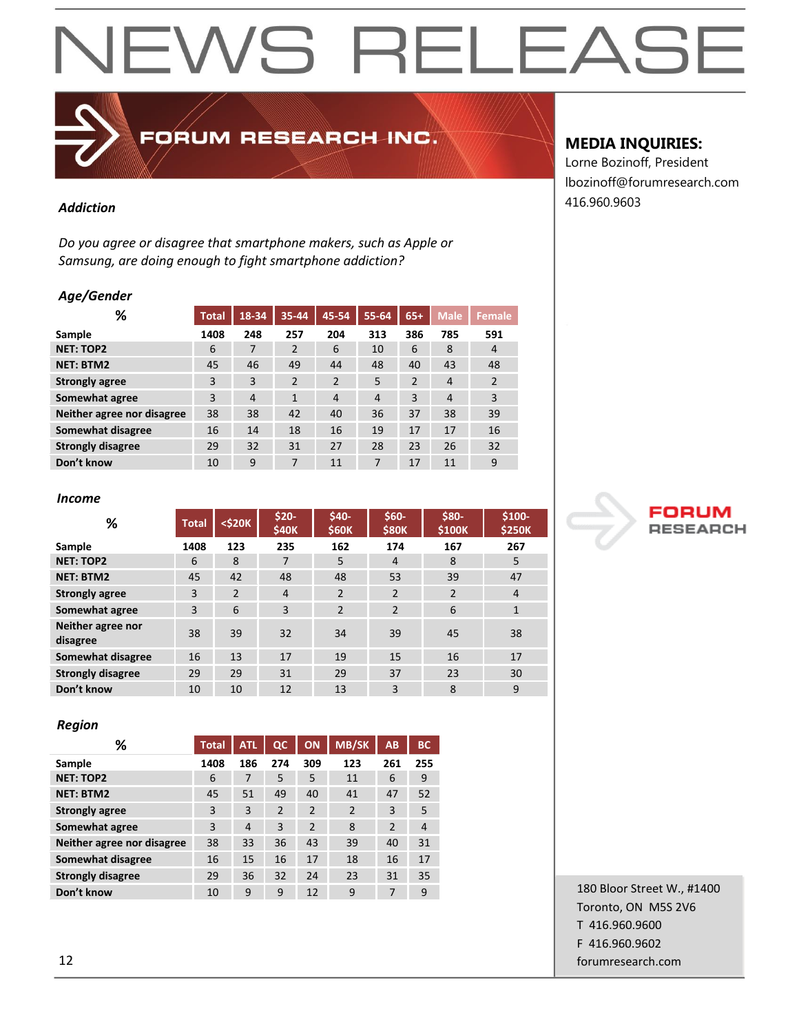## FORUM RESEARCH INC.

*Do you agree or disagree that smartphone makers, such as Apple or Samsung, are doing enough to fight smartphone addiction?*

#### *Age/Gender*

| %                          | <b>Total</b> | 18-34          | 35-44          | 45-54          | 55-64          | $65+$          | <b>Male</b>    | <b>Female</b>  |
|----------------------------|--------------|----------------|----------------|----------------|----------------|----------------|----------------|----------------|
| Sample                     | 1408         | 248            | 257            | 204            | 313            | 386            | 785            | 591            |
| <b>NET: TOP2</b>           | 6            | 7              | $\overline{2}$ | 6              | 10             | 6              | 8              | 4              |
| <b>NET: BTM2</b>           | 45           | 46             | 49             | 44             | 48             | 40             | 43             | 48             |
| <b>Strongly agree</b>      | 3            | 3              | $\overline{2}$ | $\overline{2}$ | 5              | $\overline{2}$ | 4              | $\overline{2}$ |
| Somewhat agree             | 3            | $\overline{4}$ | 1              | $\overline{4}$ | $\overline{4}$ | 3              | $\overline{4}$ | 3              |
| Neither agree nor disagree | 38           | 38             | 42             | 40             | 36             | 37             | 38             | 39             |
| Somewhat disagree          | 16           | 14             | 18             | 16             | 19             | 17             | 17             | 16             |
| <b>Strongly disagree</b>   | 29           | 32             | 31             | 27             | 28             | 23             | 26             | 32             |
| Don't know                 | 10           | 9              | 7              | 11             | 7              | 17             | 11             | 9              |

#### *Income*

| %                             | <b>Total</b> | $<$ \$20 $K$   | $$20-$<br>\$40K | \$40-<br><b>\$60K</b> | $$60-$<br><b>\$80K</b> | \$80-<br><b>\$100K</b> | \$100-<br><b>\$250K</b> |
|-------------------------------|--------------|----------------|-----------------|-----------------------|------------------------|------------------------|-------------------------|
| Sample                        | 1408         | 123            | 235             | 162                   | 174                    | 167                    | 267                     |
| <b>NET: TOP2</b>              | 6            | 8              | 7               | 5                     | $\overline{4}$         | 8                      | 5                       |
| <b>NET: BTM2</b>              | 45           | 42             | 48              | 48                    | 53                     | 39                     | 47                      |
| <b>Strongly agree</b>         | 3            | $\overline{2}$ | $\overline{4}$  | 2                     | $\overline{2}$         | $\overline{2}$         | 4                       |
| Somewhat agree                | 3            | 6              | 3               | $\overline{2}$        | $\overline{2}$         | 6                      | $\mathbf{1}$            |
| Neither agree nor<br>disagree | 38           | 39             | 32              | 34                    | 39                     | 45                     | 38                      |
| <b>Somewhat disagree</b>      | 16           | 13             | 17              | 19                    | 15                     | 16                     | 17                      |
| <b>Strongly disagree</b>      | 29           | 29             | 31              | 29                    | 37                     | 23                     | 30                      |
| Don't know                    | 10           | 10             | 12              | 13                    | 3                      | 8                      | 9                       |

#### *Region*

| %                          | <b>Total</b> | <b>ATL</b> | $\overline{\mathbf{Q}}$ | ON             | <b>MB/SK</b>   | AB             | <b>BC</b>      |
|----------------------------|--------------|------------|-------------------------|----------------|----------------|----------------|----------------|
| Sample                     | 1408         | 186        | 274                     | 309            | 123            | 261            | 255            |
| <b>NET: TOP2</b>           | 6            | 7          | 5                       | 5              | 11             | 6              | 9              |
| <b>NET: BTM2</b>           | 45           | 51         | 49                      | 40             | 41             | 47             | 52             |
| <b>Strongly agree</b>      | 3            | 3          | $\overline{2}$          | $\overline{2}$ | $\overline{2}$ | 3              | 5              |
| Somewhat agree             | 3            | 4          | 3                       | $\overline{2}$ | 8              | $\mathfrak{p}$ | $\overline{4}$ |
| Neither agree nor disagree | 38           | 33         | 36                      | 43             | 39             | 40             | 31             |
| Somewhat disagree          | 16           | 15         | 16                      | 17             | 18             | 16             | 17             |
| <b>Strongly disagree</b>   | 29           | 36         | 32                      | 24             | 23             | 31             | 35             |
| Don't know                 | 10           | 9          | 9                       | 12             | 9              | 7              | 9              |

### **MEDIA INQUIRIES:**

Lorne Bozinoff, President lbozinoff@forumresearch.com 416.960.9603 *Addiction*



180 Bloor Street W., #1400 Toronto, ON M5S 2V6 T 416.960.9600 F 416.960.9602 12 forumresearch.com